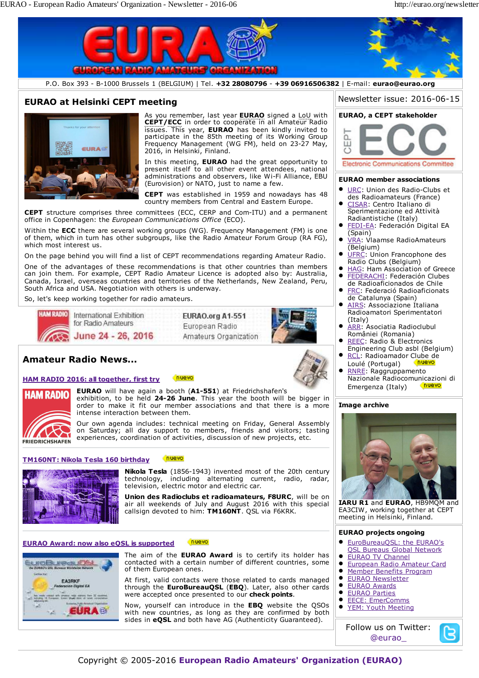